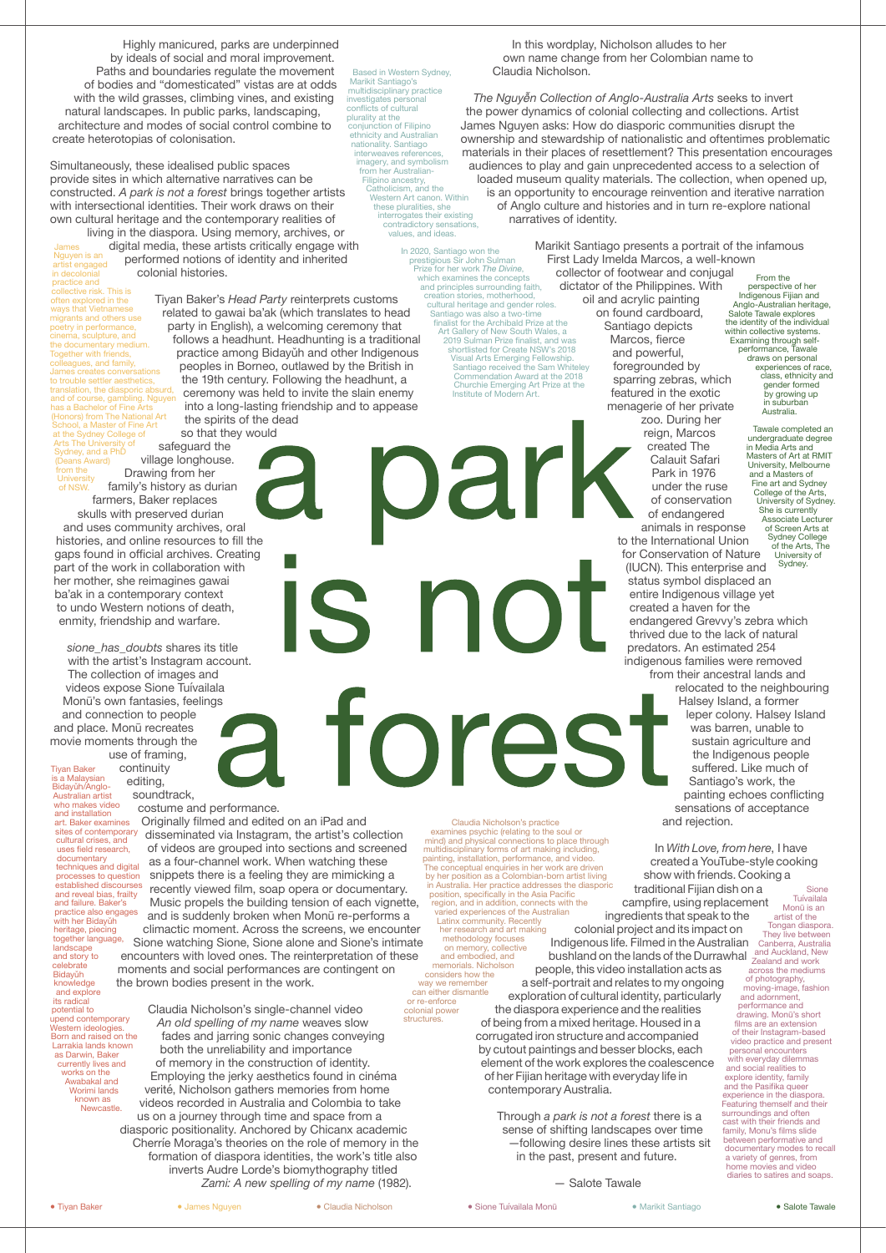Highly manicured, parks are underpinned by ideals of social and moral improvement. Paths and boundaries regulate the movement of bodies and "domesticated" vistas are at odds with the wild grasses, climbing vines, and existing natural landscapes. In public parks, landscaping, architecture and modes of social control combine to create heterotopias of colonisation.

Simultaneously, these idealised public spaces provide sites in which alternative narratives can be constructed. *A park is not a forest* brings together artists with intersectional identities. Their work draws on their own cultural heritage and the contemporary realities of

*sione\_has\_doubts* shares its title with the artist's Instagram account.

> continuity editing, soundtrack,

the 19th century. Following the headhunt, a

the spirits of the dead

so that they would

The collection of images and videos expose Sione Tuívailala Monū's own fantasies, feelings and connection to people and place. Monū recreates movie moments through the use of framing,

costume and performance.

Originally filmed and edited on an iPad and disseminated via Instagram, the artist's collection of videos are grouped into sections and screened as a four-channel work. When watching these snippets there is a feeling they are mimicking a recently viewed film, soap opera or documentary. Music propels the building tension of each vignette, and is suddenly broken when Monū re-performs a climactic moment. Across the screens, we encounter Sione watching Sione, Sione alone and Sione's intimate encounters with loved ones. The reinterpretation of these moments and social performances are contingent on the brown bodies present in the work.

In this wordplay, Nicholson alludes to her own name change from her Colombian name to Claudia Nicholson.

*The Nguyễn Collection of Anglo-Australia Arts* seeks to invert the power dynamics of colonial collecting and collections. Artist James Nguyen asks: How do diasporic communities disrupt the ownership and stewardship of nationalistic and oftentimes problematic materials in their places of resettlement? This presentation encourages audiences to play and gain unprecedented access to a selection of loaded museum quality materials. The collection, when opened up, is an opportunity to encourage reinvention and iterative narration of Anglo culture and histories and in turn re-explore national narratives of identity.

follows a headhunt. Headhunting is a traditional practice among Bidayǔh and other Indigenous peoples in Borneo, outlawed by the British in ceremony was held to invite the slain enemy into a long-lasting friendship and to appease In 2020, Santiago won the prestigious Sir John Sulman Prize for her work *The Divine*, which examines the concepts and principles surrounding faith, creation stories, motherhood, cultural heritage and gender roles. Santiago was also a two-time finalist for the Archibald Prize at the Art Gallery of New South Wales, a 2019 Sulman Prize finalist, and was shortlisted for Create NSW's 2018 Visual Arts Emerging Fellowship. Santiago received the Sam Whiteley Commendation Award at the 2018 Churchie Emerging Art Prize at the Institute of Modern Art.

> zoo. During her reign, Marcos created The Calauit Safari Park in 1976 under the ruse of conservation of endangered animals in response

to the International Union for Conservation of Nature (IUCN). This enterprise and status symbol displaced an entire Indigenous village yet created a haven for the endangered Grevvy's zebra which thrived due to the lack of natural predators. An estimated 254

indigenous families were removed

from their ancestral lands and relocated to the neighbouring a forest Halsey Island, a former leper colony. Halsey Island was barren, unable to sustain agriculture and the Indigenous people suffered. Like much of Santiago's work, the painting echoes conflicting sensations of acceptance and rejection.

 Claudia Nicholson's single-channel video *An old spelling of my name* weaves slow fades and jarring sonic changes conveying both the unreliability and importance of memory in the construction of identity. Employing the jerky aesthetics found in cinéma verité, Nicholson gathers memories from home videos recorded in Australia and Colombia to take us on a journey through time and space from a diasporic positionality. Anchored by Chicanx academic Cherríe Moraga's theories on the role of memory in the formation of diaspora identities, the work's title also inverts Audre Lorde's biomythography titled *Zami: A new spelling of my name* (1982). structures.

living in the diaspora. Using memory, archives, or digital media, these artists critically engage with performed notions of identity and inherited colonial histories. James Nguyen is an artist engaged

Tiyan Baker's *Head Party* reinterprets customs related to gawai ba'ak (which translates to head party in English), a welcoming ceremony that safeguard the village longhouse. in decolonial practice and collective risk. This is often explored in the ways that Vietnamese migrants and others use poetry in performance, cinema, sculpture, and the documentary medium. Together with friends, colleagues, and family, James creates conversations to trouble settler aesthetics, translation, the diasporic absurd, and of course, gambling. Nguyen has a Bachelor of Fine Arts (Honors) from The National Art School, a Master of Fine Art at the Sydney College of Arts The University of Sydney, and a PhD (Deans Award) from the

contemporary Australia.

Drawing from her family's history as durian farmers, Baker replaces skulls with preserved durian and uses community archives, oral histories, and online resources to fill the gaps found in official archives. Creating part of the work in collaboration with her mother, she reimagines gawai ba'ak in a contemporary context to undo Western notions of death, enmity, friendship and warfare. **University** of NSW.

in the past, present and future.

— Salote Tawale

**Sione** 

Based in Western Sydney, Marikit Santiago's multidisciplinary practice investigates personal conflicts of cultural plurality at the conjunction of Filipino ethnicity and Australian nationality. Santiago interweaves references, imagery, and symbolism from her Australian-Filipino ancestry, Catholicism, and the Western Art canon. Within these pluralities, she interrogates their existing contradictory sensations, values, and ideas.

> Marikit Santiago presents a portrait of the infamous First Lady Imelda Marcos, a well-known collector of footwear and conjugal dictator of the Philippines. With oil and acrylic painting on found cardboard, Santiago depicts Marcos, fierce and powerful, foregrounded by sparring zebras, which featured in the exotic menagerie of her private From the perspective of her Indigenous Fijian and

Claudia Nicholson's practice examines psychic (relating to the soul or mind) and physical connections to place through multidisciplinary forms of art making including, painting, installation, performance, and video. The conceptual enquiries in her work are driven by her position as a Colombian-born artist living in Australia. Her practice addresses the diasporic position, specifically in the Asia Pacific region, and in addition, connects with the varied experiences of the Australian Latinx community. Recently her research and art making

In *With Love, from here*, I have created a YouTube-style cooking show with friends. Cooking a traditional Fijian dish on a campfire, using replacement ingredients that speak to the colonial project and its impact on Indigenous life. Filmed in the Australian bushland on the lands of the Durrawhal people, this video installation acts as a self-portrait and relates to my ongoing exploration of cultural identity, particularly the diaspora experience and the realities of being from a mixed heritage. Housed in a corrugated iron structure and accompanied by cutout paintings and besser blocks, each element of the work explores the coalescence of her Fijian heritage with everyday life in Through *a park is not a forest* there is a sense of shifting landscapes over time —following desire lines these artists sit **Tuívailala** Monū is an artist of the Tongan diaspora. They live between Canberra, Australia and Auckland, New Zealand and work across the mediums of photography, moving-image, fashion and adornment, performance and drawing. Monū's short films are an extension of their Instagram-based video practice and present personal encounters with everyday dilemmas and social realities to explore identity, family

methodology focuses on memory, collective and embodied, and memorials. Nicholson considers how the way we remember

can either dismantle or re-enforce colonial power

Tiyan Baker is a Malaysian Bidayǔh/Anglo-Australian artist who makes video and installation art. Baker examines sites of contemporary cultural crises, and uses field research, documentary techniques and digital processes to question established discourses and reveal bias, frailty and failure. Baker's practice also engages with her Bidayuh heritage, piecing together language, landscape and story to celebrate Bidayǔh knowledge and explore its radical potential to upend contemporary Western ideologies. Born and raised on the Larrakia lands known as Darwin, Baker currently lives and works on the Awabakal and Worimi lands known as Newcastle.

Anglo-Australian heritage, Salote Tawale explores the identity of the individual within collective systems. Examining through selfperformance, Tawale draws on personal experiences of race, class, ethnicity and gender formed by growing up in suburban Australia. Tawale completed an

undergraduate degree in Media Arts and Masters of Art at RMIT University, Melbourne and a Masters of Fine art and Sydney College of the Arts, University of Sydney. She is currently Associate Lecturer of Screen Arts at Sydney College of the Arts, The University of Sydney.

and the Pasifika queer experience in the diaspora. Featuring themself and their surroundings and often cast with their friends and family, Monu's films slide between performative and documentary modes to recall a variety of genres, from home movies and video diaries to satires and soaps.

● Tiyan Baker ● James Nguyen ● Claudia Nicholson ● Sione Tuívailala Monū ● Marikit Santiago ● Salote Tawale